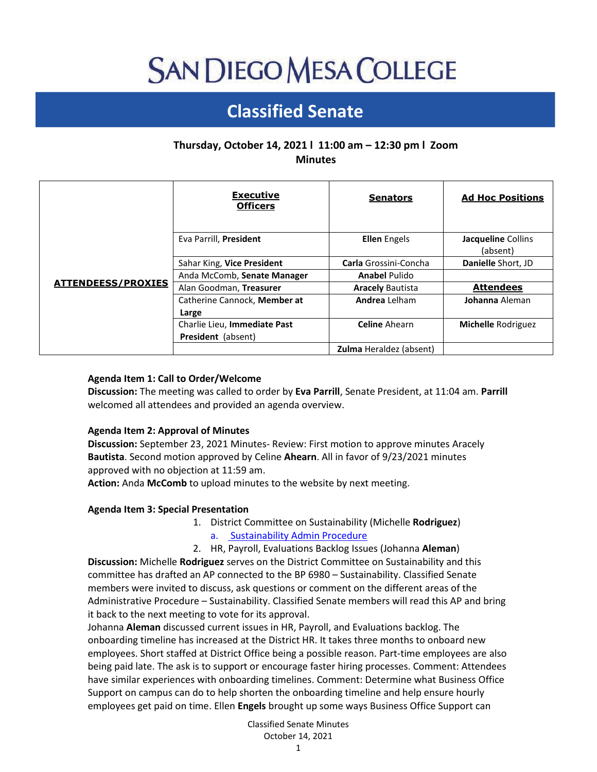# **SAN DIEGO MESA COLLEGE**

# **Classified Senate**

# **Thursday, October 14, 2021 l 11:00 am – 12:30 pm l Zoom Minutes**

|                           | <b>Executive</b><br><b>Officers</b>                       | <b>Senators</b>                | <b>Ad Hoc Positions</b>        |
|---------------------------|-----------------------------------------------------------|--------------------------------|--------------------------------|
| <b>ATTENDEESS/PROXIES</b> | Eva Parrill, President                                    | <b>Ellen</b> Engels            | Jacqueline Collins<br>(absent) |
|                           | Sahar King, Vice President                                | <b>Carla</b> Grossini-Concha   | Danielle Short, JD             |
|                           | Anda McComb, Senate Manager                               | <b>Anabel Pulido</b>           |                                |
|                           | Alan Goodman, Treasurer                                   | <b>Aracely Bautista</b>        | <b>Attendees</b>               |
|                           | Catherine Cannock, Member at<br>Large                     | Andrea Lelham                  | Johanna Aleman                 |
|                           | Charlie Lieu, Immediate Past<br><b>President</b> (absent) | <b>Celine</b> Ahearn           | <b>Michelle Rodriguez</b>      |
|                           |                                                           | <b>Zulma</b> Heraldez (absent) |                                |

#### **Agenda Item 1: Call to Order/Welcome**

**Discussion:** The meeting was called to order by **Eva Parrill**, Senate President, at 11:04 am. **Parrill** welcomed all attendees and provided an agenda overview.

#### **Agenda Item 2: Approval of Minutes**

**Discussion:** September 23, 2021 Minutes- Review: First motion to approve minutes Aracely **Bautista**. Second motion approved by Celine **Ahearn**. All in favor of 9/23/2021 minutes approved with no objection at 11:59 am.

**Action:** Anda **McComb** to upload minutes to the website by next meeting.

#### **Agenda Item 3: Special Presentation**

1. District Committee on Sustainability (Michelle **Rodriguez**)

a. [Sustainability Admin Procedure](https://docs.google.com/document/d/1OGRxR1vzR6roQwGtw1joGHhgIX8j4uHpcCzwigA7j0I/edit?usp=sharing)

2. HR, Payroll, Evaluations Backlog Issues (Johanna **Aleman**)

**Discussion:** Michelle **Rodriguez** serves on the District Committee on Sustainability and this committee has drafted an AP connected to the BP 6980 – Sustainability. Classified Senate members were invited to discuss, ask questions or comment on the different areas of the Administrative Procedure – Sustainability. Classified Senate members will read this AP and bring it back to the next meeting to vote for its approval.

Johanna **Aleman** discussed current issues in HR, Payroll, and Evaluations backlog. The onboarding timeline has increased at the District HR. It takes three months to onboard new employees. Short staffed at District Office being a possible reason. Part-time employees are also being paid late. The ask is to support or encourage faster hiring processes. Comment: Attendees have similar experiences with onboarding timelines. Comment: Determine what Business Office Support on campus can do to help shorten the onboarding timeline and help ensure hourly employees get paid on time. Ellen **Engels** brought up some ways Business Office Support can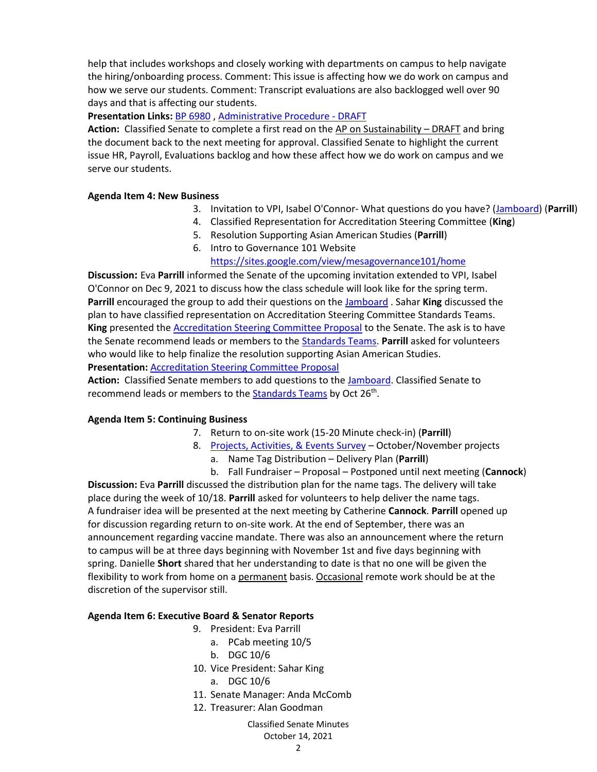help that includes workshops and closely working with departments on campus to help navigate the hiring/onboarding process. Comment: This issue is affecting how we do work on campus and how we serve our students. Comment: Transcript evaluations are also backlogged well over 90 days and that is affecting our students.

**Presentation Links:** [BP 6980](https://www.sdccd.edu/docs/District/policies/Facilities%20and%20Equipment%20Services/BP%206980.pdf) , [Administrative Procedure -](https://docs.google.com/document/d/1OGRxR1vzR6roQwGtw1joGHhgIX8j4uHpcCzwigA7j0I/edit?usp=sharing) DRAFT

**Action:** Classified Senate to complete a first read on the AP on Sustainability – DRAFT and bring the document back to the next meeting for approval. Classified Senate to highlight the current issue HR, Payroll, Evaluations backlog and how these affect how we do work on campus and we serve our students.

### **Agenda Item 4: New Business**

- 3. Invitation to VPI, Isabel O'Connor- What questions do you have? [\(Jamboard\)](https://jamboard.google.com/d/14YY5F9tlXuhAb21p_ToUop3kmbYMtyCkcm9IuLpAyOU/edit?usp=sharing) (**Parrill**)
- 4. Classified Representation for Accreditation Steering Committee (**King**)
- 5. Resolution Supporting Asian American Studies (**Parrill**)
- 6. Intro to Governance 101 Website

# <https://sites.google.com/view/mesagovernance101/home>

**Discussion:** Eva **Parrill** informed the Senate of the upcoming invitation extended to VPI, Isabel O'Connor on Dec 9, 2021 to discuss how the class schedule will look like for the spring term. **Parrill** encouraged the group to add their questions on the [Jamboard](https://jamboard.google.com/d/14YY5F9tlXuhAb21p_ToUop3kmbYMtyCkcm9IuLpAyOU/edit?usp=sharing) . Sahar **King** discussed the plan to have classified representation on Accreditation Steering Committee Standards Teams. **King** presented the [Accreditation Steering Committee Proposal](https://docs.google.com/document/d/1w_KnhS4q1mXnW0G5-87tQFbkUlsgqeA6/edit?usp=sharing&ouid=104439725194125047066&rtpof=true&sd=true) to the Senate. The ask is to have the Senate recommend leads or members to the [Standards Teams.](https://docs.google.com/document/d/12-jferrX4jGuj8Y20bVZjnCoIlgA1keVSYWgt0cxvsY/edit?usp=sharing) **Parrill** asked for volunteers who would like to help finalize the resolution supporting Asian American Studies. **Presentation:** [Accreditation Steering Committee Proposal](https://docs.google.com/document/d/1w_KnhS4q1mXnW0G5-87tQFbkUlsgqeA6/edit?usp=sharing&ouid=104439725194125047066&rtpof=true&sd=true)

Action: Classified Senate members to add questions to the **Jamboard**. Classified Senate to recommend leads or members to the **Standards Teams** by Oct 26<sup>th</sup>.

#### **Agenda Item 5: Continuing Business**

- 7. Return to on-site work (15-20 Minute check-in) (**Parrill**)
- 8. [Projects, Activities, & Events Survey](https://docs.google.com/forms/d/e/1FAIpQLScWCSltDz9g2SQhCU0k-dKXkdcI-5AgniHQGx44VeSB_e4y9A/viewform) October/November projects
	- a. Name Tag Distribution Delivery Plan (**Parrill**)
	- b. Fall Fundraiser Proposal Postponed until next meeting (**Cannock**)

**Discussion:** Eva **Parrill** discussed the distribution plan for the name tags. The delivery will take place during the week of 10/18. **Parrill** asked for volunteers to help deliver the name tags. A fundraiser idea will be presented at the next meeting by Catherine **Cannock**. **Parrill** opened up for discussion regarding return to on-site work. At the end of September, there was an announcement regarding vaccine mandate. There was also an announcement where the return to campus will be at three days beginning with November 1st and five days beginning with spring. Danielle **Short** shared that her understanding to date is that no one will be given the flexibility to work from home on a permanent basis. Occasional remote work should be at the discretion of the supervisor still.

#### **Agenda Item 6: Executive Board & Senator Reports**

- 9. President: Eva Parrill
	- a. PCab meeting 10/5
		- b. DGC 10/6
- 10. Vice President: Sahar King
	- a. DGC 10/6
- 11. Senate Manager: Anda McComb
- 12. Treasurer: Alan Goodman

## Classified Senate Minutes October 14, 2021